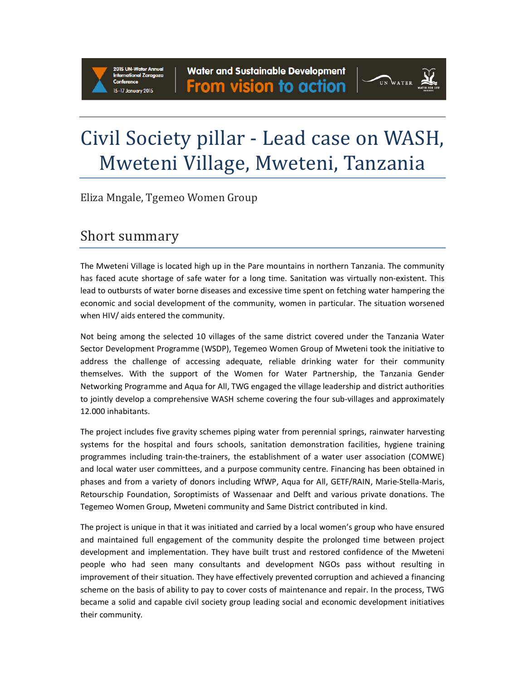# UN WATER

## Civil Society pillar - Lead case on WASH, Mweteni Village, Mweteni, Tanzania

Eliza Mngale, Tgemeo Women Group

### Short summary

The Mweteni Village is located high up in the Pare mountains in northern Tanzania. The community has faced acute shortage of safe water for a long time. Sanitation was virtually non-existent. This lead to outbursts of water borne diseases and excessive time spent on fetching water hampering the economic and social development of the community, women in particular. The situation worsened when HIV/ aids entered the community.

Not being among the selected 10 villages of the same district covered under the Tanzania Water Sector Development Programme (WSDP), Tegemeo Women Group of Mweteni took the initiative to address the challenge of accessing adequate, reliable drinking water for their community themselves. With the support of the Women for Water Partnership, the Tanzania Gender Networking Programme and Aqua for All, TWG engaged the village leadership and district authorities to jointly develop a comprehensive WASH scheme covering the four sub-villages and approximately 12.000 inhabitants.

The project includes five gravity schemes piping water from perennial springs, rainwater harvesting systems for the hospital and fours schools, sanitation demonstration facilities, hygiene training programmes including train-the-trainers, the establishment of a water user association (COMWE) and local water user committees, and a purpose community centre. Financing has been obtained in phases and from a variety of donors including WfWP, Aqua for All, GETF/RAIN, Marie-Stella-Maris, Retourschip Foundation, Soroptimists of Wassenaar and Delft and various private donations. The Tegemeo Women Group, Mweteni community and Same District contributed in kind.

The project is unique in that it was initiated and carried by a local women's group who have ensured and maintained full engagement of the community despite the prolonged time between project development and implementation. They have built trust and restored confidence of the Mweteni people who had seen many consultants and development NGOs pass without resulting in improvement of their situation. They have effectively prevented corruption and achieved a financing scheme on the basis of ability to pay to cover costs of maintenance and repair. In the process, TWG became a solid and capable civil society group leading social and economic development initiatives their community.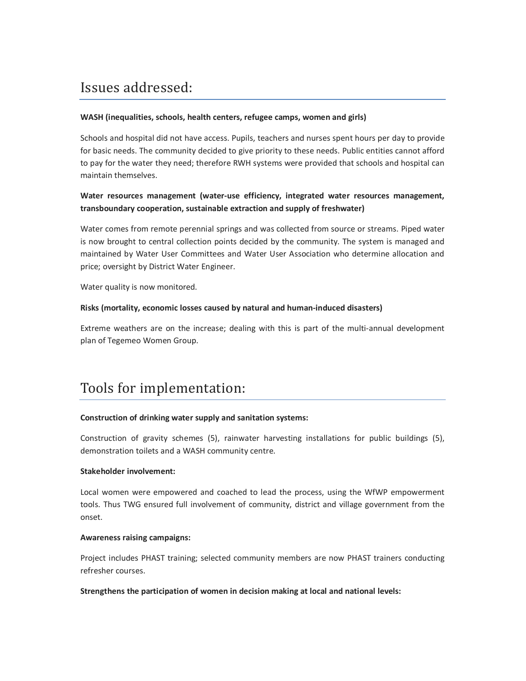## Issues addressed:

#### **WASH (inequalities, schools, health centers, refugee camps, women and girls)**

Schools and hospital did not have access. Pupils, teachers and nurses spent hours per day to provide for basic needs. The community decided to give priority to these needs. Public entities cannot afford to pay for the water they need; therefore RWH systems were provided that schools and hospital can maintain themselves.

#### **Water resources management (water-use efficiency, integrated water resources management, transboundary cooperation, sustainable extraction and supply of freshwater)**

Water comes from remote perennial springs and was collected from source or streams. Piped water is now brought to central collection points decided by the community. The system is managed and maintained by Water User Committees and Water User Association who determine allocation and price; oversight by District Water Engineer.

Water quality is now monitored.

#### **Risks (mortality, economic losses caused by natural and human-induced disasters)**

Extreme weathers are on the increase; dealing with this is part of the multi-annual development plan of Tegemeo Women Group.

## Tools for implementation:

#### **Construction of drinking water supply and sanitation systems:**

Construction of gravity schemes (5), rainwater harvesting installations for public buildings (5), demonstration toilets and a WASH community centre.

#### **Stakeholder involvement:**

Local women were empowered and coached to lead the process, using the WfWP empowerment tools. Thus TWG ensured full involvement of community, district and village government from the onset.

#### **Awareness raising campaigns:**

Project includes PHAST training; selected community members are now PHAST trainers conducting refresher courses.

#### **Strengthens the participation of women in decision making at local and national levels:**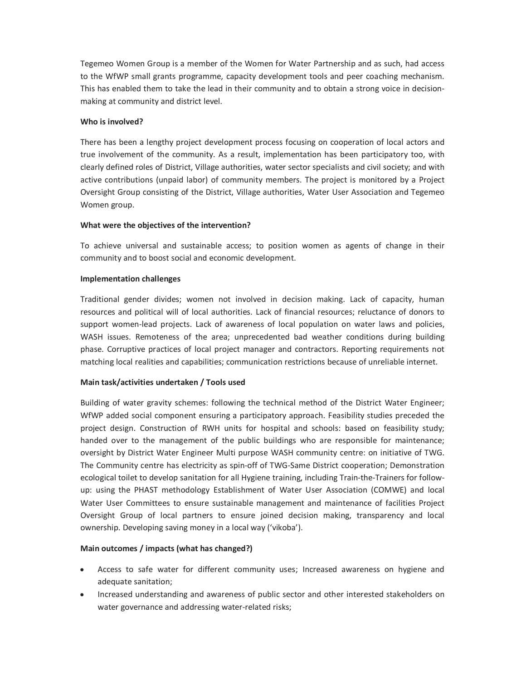Tegemeo Women Group is a member of the Women for Water Partnership and as such, had access to the WfWP small grants programme, capacity development tools and peer coaching mechanism. This has enabled them to take the lead in their community and to obtain a strong voice in decisionmaking at community and district level.

#### **Who is involved?**

There has been a lengthy project development process focusing on cooperation of local actors and true involvement of the community. As a result, implementation has been participatory too, with clearly defined roles of District, Village authorities, water sector specialists and civil society; and with active contributions (unpaid labor) of community members. The project is monitored by a Project Oversight Group consisting of the District, Village authorities, Water User Association and Tegemeo Women group.

#### **What were the objectives of the intervention?**

To achieve universal and sustainable access; to position women as agents of change in their community and to boost social and economic development.

#### **Implementation challenges**

Traditional gender divides; women not involved in decision making. Lack of capacity, human resources and political will of local authorities. Lack of financial resources; reluctance of donors to support women-lead projects. Lack of awareness of local population on water laws and policies, WASH issues. Remoteness of the area; unprecedented bad weather conditions during building phase. Corruptive practices of local project manager and contractors. Reporting requirements not matching local realities and capabilities; communication restrictions because of unreliable internet.

#### **Main task/activities undertaken / Tools used**

Building of water gravity schemes: following the technical method of the District Water Engineer; WfWP added social component ensuring a participatory approach. Feasibility studies preceded the project design. Construction of RWH units for hospital and schools: based on feasibility study; handed over to the management of the public buildings who are responsible for maintenance; oversight by District Water Engineer Multi purpose WASH community centre: on initiative of TWG. The Community centre has electricity as spin-off of TWG-Same District cooperation; Demonstration ecological toilet to develop sanitation for all Hygiene training, including Train-the-Trainers for followup: using the PHAST methodology Establishment of Water User Association (COMWE) and local Water User Committees to ensure sustainable management and maintenance of facilities Project Oversight Group of local partners to ensure joined decision making, transparency and local ownership. Developing saving money in a local way ('vikoba').

#### **Main outcomes / impacts (what has changed?)**

- Access to safe water for different community uses; Increased awareness on hygiene and adequate sanitation;
- Increased understanding and awareness of public sector and other interested stakeholders on water governance and addressing water-related risks;